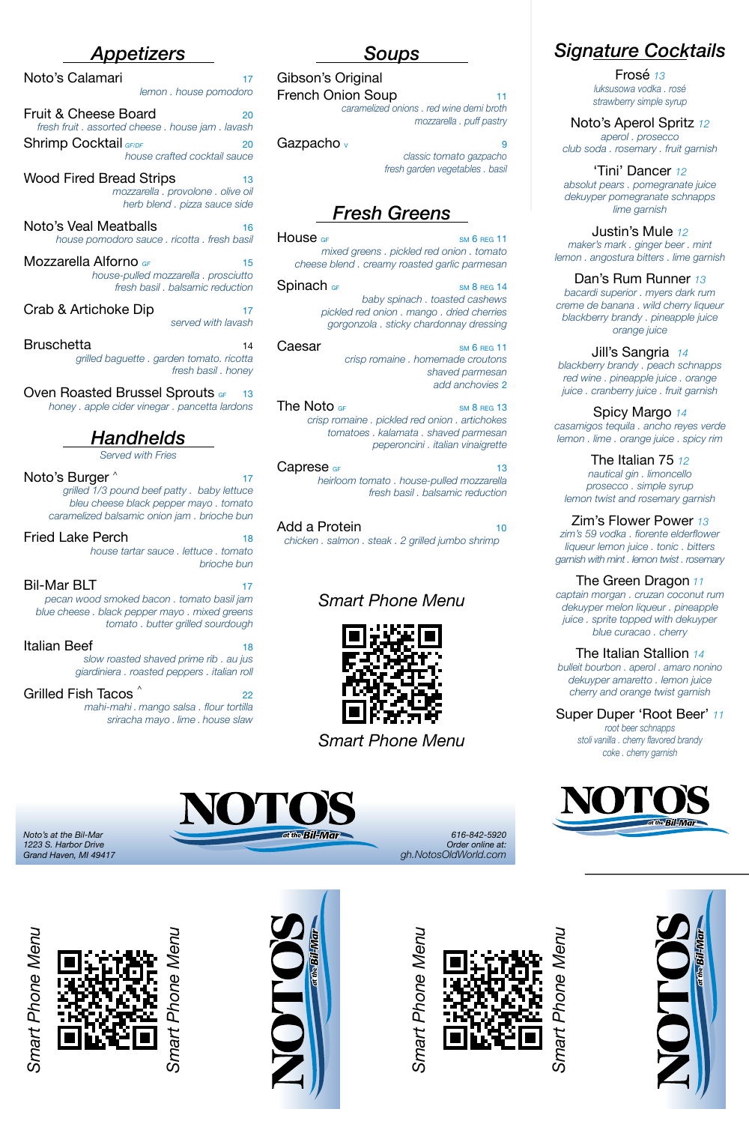# *Appetizers*

Noto's Calamari 17

 *lemon . house pomodoro* Fruit & Cheese Board 20 *fresh fruit . assorted cheese . house jam . lavash* Shrimp Cocktail *GF/DF* 20 *house crafted cocktail sauce*

Wood Fired Bread Strips 13 *mozzarella . provolone . olive oil herb blend . pizza sauce side*

Noto's Veal Meatballs 16 *house pomodoro sauce . ricotta . fresh basil* 

Mozzarella Alforno *GF* 15 *house-pulled mozzarella . prosciutto fresh basil . balsamic reduction*

Crab & Artichoke Dip 17

 *served with lavash*

Bruschetta <sup>14</sup> *grilled baguette . garden tomato. ricotta fresh basil . honey*

## Oven Roasted Brussel Sprouts GF

*honey . apple cider vinegar . pancetta lardons*

# *Handhelds*

*Served with Fries*

### Noto's Burger  $\wedge$  17

*grilled 1/3 pound beef patty . baby lettuce bleu cheese black pepper mayo . tomato caramelized balsamic onion jam . brioche bun*

### Fried Lake Perch 18

*house tartar sauce . lettuce . tomato brioche bun*

### **Bil-Mar BLT**

*pecan wood smoked bacon . tomato basil jam blue cheese . black pepper mayo . mixed greens tomato . butter grilled sourdough* 

## Italian Beef

*slow roasted shaved prime rib . au jus giardiniera . roasted peppers . italian roll*

Grilled Fish Tacos 22 *mahi-mahi . mango salsa . flour tortilla sriracha mayo . lime . house slaw*

## *Soups* Gibson's Original

French Onion Soup 11

*caramelized onions . red wine demi broth mozzarella . puff pastry*

## Gazpacho V <sup>9</sup>

*classic tomato gazpacho fresh garden vegetables . basil*

# *Fresh Greens*

**House** GF sm 6 REG 11 *mixed greens . pickled red onion . tomato cheese blend . creamy roasted garlic parmesan*

#### Spinach GF sm 8 REG 14

*baby spinach . toasted cashews pickled red onion . mango . dried cherries gorgonzola . sticky chardonnay dressing*

#### $Caesar$  sm 6 REG 11 *crisp romaine . homemade croutons shaved parmesan add anchovies* 2

The Noto  $_{GF}$  sm 8 REG 13 *crisp romaine . pickled red onion . artichokes tomatoes . kalamata . shaved parmesan peperoncini . italian vinaigrette*

#### $Caprese$  GF 13 *heirloom tomato . house-pulled mozzarella fresh basil . balsamic reduction*

### Add a Protein 10

*chicken . salmon . steak . 2 grilled jumbo shrimp* 

# *Smart Phone Menu*





*Grand Haven, MI 49417 gh.NotosOldWorld.com*

*1223 S. Harbor Drive*<br>*Grand Haven, MI 49417*